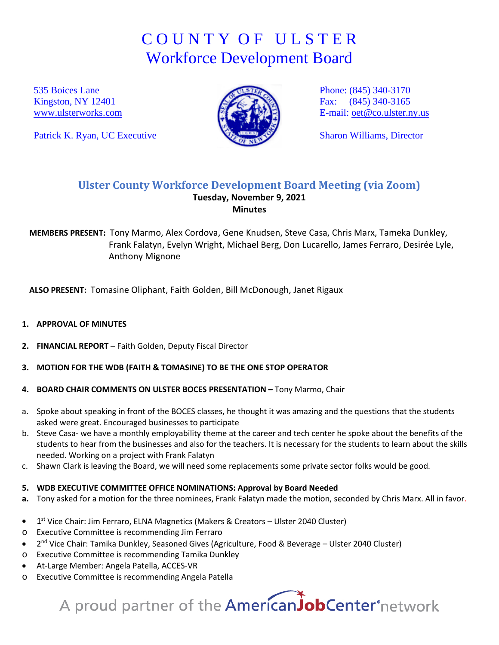## C O U N T Y O F U L S T E R Workforce Development Board

535 Boices Lane Kingston, NY 12401 [www.ulsterworks.com](http://www.ulsterworks.com/)

Patrick K. Ryan, UC Executive



Phone: (845) 340-3170 Fax: (845) 340-3165 E-mail: [oet@co.ulster.ny.us](mailto:oet@co.ulster.ny.us)

Sharon Williams, Director

### **Ulster County Workforce Development Board Meeting (via Zoom) Tuesday, November 9, 2021 Minutes**

**MEMBERS PRESENT:** Tony Marmo, Alex Cordova, Gene Knudsen, Steve Casa, Chris Marx, Tameka Dunkley, Frank Falatyn, Evelyn Wright, Michael Berg, Don Lucarello, James Ferraro, Desirée Lyle, Anthony Mignone

**ALSO PRESENT:** Tomasine Oliphant, Faith Golden, Bill McDonough, Janet Rigaux

#### **1. APPROVAL OF MINUTES**

- **2. FINANCIAL REPORT**  Faith Golden, Deputy Fiscal Director
- **3. MOTION FOR THE WDB (FAITH & TOMASINE) TO BE THE ONE STOP OPERATOR**
- **4. BOARD CHAIR COMMENTS ON ULSTER BOCES PRESENTATION –** Tony Marmo, Chair
- a. Spoke about speaking in front of the BOCES classes, he thought it was amazing and the questions that the students asked were great. Encouraged businesses to participate
- b. Steve Casa- we have a monthly employability theme at the career and tech center he spoke about the benefits of the students to hear from the businesses and also for the teachers. It is necessary for the students to learn about the skills needed. Working on a project with Frank Falatyn
- c. Shawn Clark is leaving the Board, we will need some replacements some private sector folks would be good.

#### **5. WDB EXECUTIVE COMMITTEE OFFICE NOMINATIONS: Approval by Board Needed**

- **a.** Tony asked for a motion for the three nominees, Frank Falatyn made the motion, seconded by Chris Marx. All in favor.
- 1<sup>st</sup> Vice Chair: Jim Ferraro, ELNA Magnetics (Makers & Creators Ulster 2040 Cluster)
- o Executive Committee is recommending Jim Ferraro
- 2nd Vice Chair: Tamika Dunkley, Seasoned Gives (Agriculture, Food & Beverage Ulster 2040 Cluster)
- o Executive Committee is recommending Tamika Dunkley
- At-Large Member: Angela Patella, ACCES-VR
- o Executive Committee is recommending Angela Patella

# A proud partner of the AmericanJobCenter°network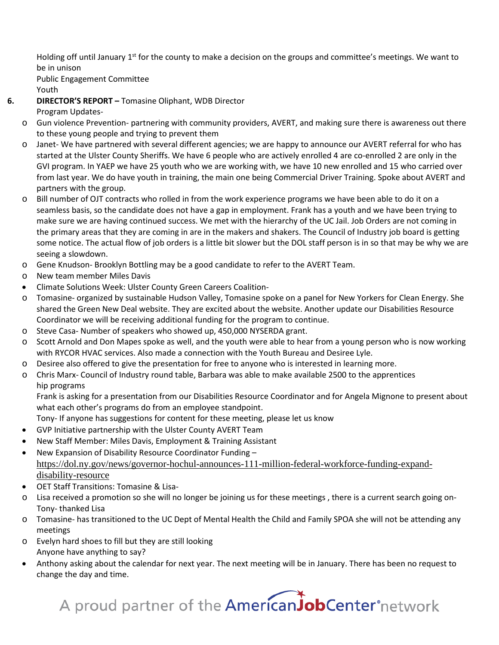Holding off until January 1<sup>st</sup> for the county to make a decision on the groups and committee's meetings. We want to be in unison

Public Engagement Committee

Youth

**6. DIRECTOR'S REPORT –** Tomasine Oliphant, WDB Director

Program Updates-

- o Gun violence Prevention- partnering with community providers, AVERT, and making sure there is awareness out there to these young people and trying to prevent them
- o Janet- We have partnered with several different agencies; we are happy to announce our AVERT referral for who has started at the Ulster County Sheriffs. We have 6 people who are actively enrolled 4 are co-enrolled 2 are only in the GVI program. In YAEP we have 25 youth who we are working with, we have 10 new enrolled and 15 who carried over from last year. We do have youth in training, the main one being Commercial Driver Training. Spoke about AVERT and partners with the group.
- o Bill number of OJT contracts who rolled in from the work experience programs we have been able to do it on a seamless basis, so the candidate does not have a gap in employment. Frank has a youth and we have been trying to make sure we are having continued success. We met with the hierarchy of the UC Jail. Job Orders are not coming in the primary areas that they are coming in are in the makers and shakers. The Council of Industry job board is getting some notice. The actual flow of job orders is a little bit slower but the DOL staff person is in so that may be why we are seeing a slowdown.
- o Gene Knudson- Brooklyn Bottling may be a good candidate to refer to the AVERT Team.
- o New team member Miles Davis
- Climate Solutions Week: Ulster County Green Careers Coalition-
- o Tomasine- organized by sustainable Hudson Valley, Tomasine spoke on a panel for New Yorkers for Clean Energy. She shared the Green New Deal website. They are excited about the website. Another update our Disabilities Resource Coordinator we will be receiving additional funding for the program to continue.
- o Steve Casa- Number of speakers who showed up, 450,000 NYSERDA grant.
- o Scott Arnold and Don Mapes spoke as well, and the youth were able to hear from a young person who is now working with RYCOR HVAC services. Also made a connection with the Youth Bureau and Desiree Lyle.
- o Desiree also offered to give the presentation for free to anyone who is interested in learning more.
- o Chris Marx- Council of Industry round table, Barbara was able to make available 2500 to the apprentices hip programs

Frank is asking for a presentation from our Disabilities Resource Coordinator and for Angela Mignone to present about what each other's programs do from an employee standpoint.

Tony- If anyone has suggestions for content for these meeting, please let us know

- GVP Initiative partnership with the Ulster County AVERT Team
- New Staff Member: Miles Davis, Employment & Training Assistant
- New Expansion of Disability Resource Coordinator Funding [https://dol.ny.gov/news/governor-hochul-announces-111-million-federal-workforce-funding-expand](https://dol.ny.gov/news/governor-hochul-announces-111-million-federal-workforce-funding-expand-disability-resource)[disability-resource](https://dol.ny.gov/news/governor-hochul-announces-111-million-federal-workforce-funding-expand-disability-resource)
- OET Staff Transitions: Tomasine & Lisa-
- o Lisa received a promotion so she will no longer be joining us for these meetings , there is a current search going on-Tony- thanked Lisa
- o Tomasine- has transitioned to the UC Dept of Mental Health the Child and Family SPOA she will not be attending any meetings
- o Evelyn hard shoes to fill but they are still looking Anyone have anything to say?
- Anthony asking about the calendar for next year. The next meeting will be in January. There has been no request to change the day and time.

A proud partner of the **AmericanJobCenter** network